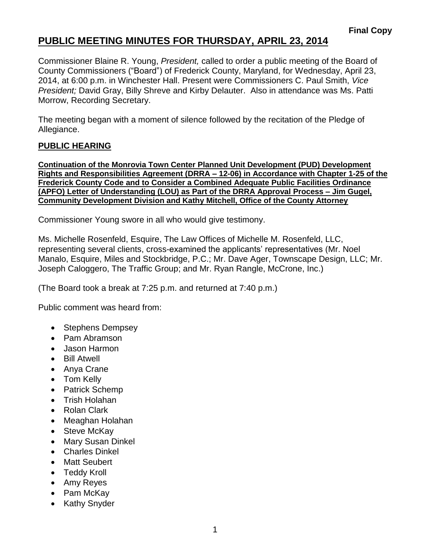Commissioner Blaine R. Young, *President,* called to order a public meeting of the Board of County Commissioners ("Board") of Frederick County, Maryland, for Wednesday, April 23, 2014, at 6:00 p.m. in Winchester Hall. Present were Commissioners C. Paul Smith, *Vice President;* David Gray, Billy Shreve and Kirby Delauter. Also in attendance was Ms. Patti Morrow, Recording Secretary.

The meeting began with a moment of silence followed by the recitation of the Pledge of Allegiance.

### **PUBLIC HEARING**

**Continuation of the Monrovia Town Center Planned Unit Development (PUD) Development Rights and Responsibilities Agreement (DRRA – 12-06) in Accordance with Chapter 1-25 of the Frederick County Code and to Consider a Combined Adequate Public Facilities Ordinance (APFO) Letter of Understanding (LOU) as Part of the DRRA Approval Process – Jim Gugel, Community Development Division and Kathy Mitchell, Office of the County Attorney**

Commissioner Young swore in all who would give testimony.

Ms. Michelle Rosenfeld, Esquire, The Law Offices of Michelle M. Rosenfeld, LLC, representing several clients, cross-examined the applicants' representatives (Mr. Noel Manalo, Esquire, Miles and Stockbridge, P.C.; Mr. Dave Ager, Townscape Design, LLC; Mr. Joseph Caloggero, The Traffic Group; and Mr. Ryan Rangle, McCrone, Inc.)

(The Board took a break at 7:25 p.m. and returned at 7:40 p.m.)

Public comment was heard from:

- Stephens Dempsey
- Pam Abramson
- Jason Harmon
- Bill Atwell
- Anya Crane
- Tom Kelly
- Patrick Schemp
- Trish Holahan
- Rolan Clark
- Meaghan Holahan
- Steve McKay
- Mary Susan Dinkel
- Charles Dinkel
- Matt Seubert
- Teddy Kroll
- Amy Reyes
- Pam McKay
- Kathy Snyder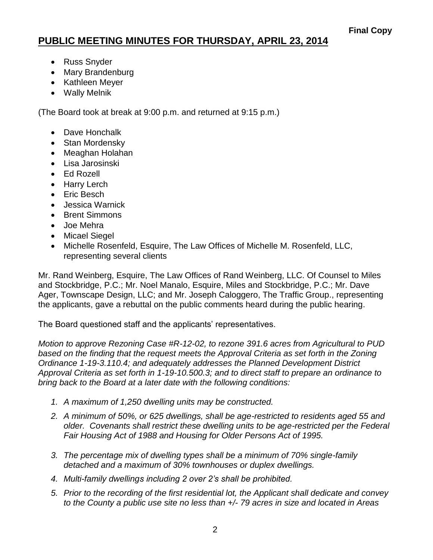- Russ Snyder
- Mary Brandenburg
- Kathleen Meyer
- Wally Melnik

(The Board took at break at 9:00 p.m. and returned at 9:15 p.m.)

- Dave Honchalk
- Stan Mordensky
- Meaghan Holahan
- Lisa Jarosinski
- Ed Rozell
- Harry Lerch
- Eric Besch
- Jessica Warnick
- Brent Simmons
- Joe Mehra
- Micael Siegel
- Michelle Rosenfeld, Esquire, The Law Offices of Michelle M. Rosenfeld, LLC, representing several clients

Mr. Rand Weinberg, Esquire, The Law Offices of Rand Weinberg, LLC. Of Counsel to Miles and Stockbridge, P.C.; Mr. Noel Manalo, Esquire, Miles and Stockbridge, P.C.; Mr. Dave Ager, Townscape Design, LLC; and Mr. Joseph Caloggero, The Traffic Group., representing the applicants, gave a rebuttal on the public comments heard during the public hearing.

The Board questioned staff and the applicants' representatives.

*Motion to approve Rezoning Case #R-12-02, to rezone 391.6 acres from Agricultural to PUD*  based on the finding that the request meets the Approval Criteria as set forth in the Zoning *Ordinance 1-19-3.110.4; and adequately addresses the Planned Development District Approval Criteria as set forth in 1-19-10.500.3; and to direct staff to prepare an ordinance to bring back to the Board at a later date with the following conditions:* 

- *1. A maximum of 1,250 dwelling units may be constructed.*
- *2. A minimum of 50%, or 625 dwellings, shall be age-restricted to residents aged 55 and older. Covenants shall restrict these dwelling units to be age-restricted per the Federal Fair Housing Act of 1988 and Housing for Older Persons Act of 1995.*
- *3. The percentage mix of dwelling types shall be a minimum of 70% single-family detached and a maximum of 30% townhouses or duplex dwellings.*
- *4. Multi-family dwellings including 2 over 2's shall be prohibited.*
- *5. Prior to the recording of the first residential lot, the Applicant shall dedicate and convey to the County a public use site no less than +/- 79 acres in size and located in Areas*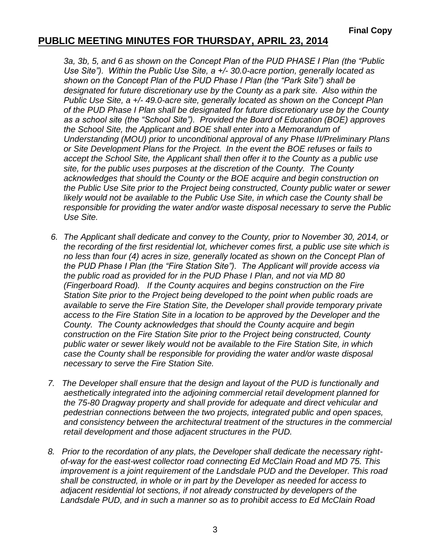*3a, 3b, 5, and 6 as shown on the Concept Plan of the PUD PHASE I Plan (the "Public Use Site"). Within the Public Use Site, a +/- 30.0-acre portion, generally located as shown on the Concept Plan of the PUD Phase I Plan (the "Park Site") shall be designated for future discretionary use by the County as a park site. Also within the Public Use Site, a +/- 49.0-acre site, generally located as shown on the Concept Plan of the PUD Phase I Plan shall be designated for future discretionary use by the County as a school site (the "School Site"). Provided the Board of Education (BOE) approves the School Site, the Applicant and BOE shall enter into a Memorandum of Understanding (MOU) prior to unconditional approval of any Phase II/Preliminary Plans or Site Development Plans for the Project. In the event the BOE refuses or fails to accept the School Site, the Applicant shall then offer it to the County as a public use site, for the public uses purposes at the discretion of the County. The County acknowledges that should the County or the BOE acquire and begin construction on the Public Use Site prior to the Project being constructed, County public water or sewer likely would not be available to the Public Use Site, in which case the County shall be responsible for providing the water and/or waste disposal necessary to serve the Public Use Site.* 

- *6. The Applicant shall dedicate and convey to the County, prior to November 30, 2014, or the recording of the first residential lot, whichever comes first, a public use site which is no less than four (4) acres in size, generally located as shown on the Concept Plan of the PUD Phase I Plan (the "Fire Station Site"). The Applicant will provide access via the public road as provided for in the PUD Phase I Plan, and not via MD 80 (Fingerboard Road). If the County acquires and begins construction on the Fire Station Site prior to the Project being developed to the point when public roads are available to serve the Fire Station Site, the Developer shall provide temporary private access to the Fire Station Site in a location to be approved by the Developer and the County. The County acknowledges that should the County acquire and begin construction on the Fire Station Site prior to the Project being constructed, County public water or sewer likely would not be available to the Fire Station Site, in which case the County shall be responsible for providing the water and/or waste disposal necessary to serve the Fire Station Site.*
- *7. The Developer shall ensure that the design and layout of the PUD is functionally and aesthetically integrated into the adjoining commercial retail development planned for the 75-80 Dragway property and shall provide for adequate and direct vehicular and pedestrian connections between the two projects, integrated public and open spaces, and consistency between the architectural treatment of the structures in the commercial retail development and those adjacent structures in the PUD.*
- *8. Prior to the recordation of any plats, the Developer shall dedicate the necessary rightof-way for the east-west collector road connecting Ed McClain Road and MD 75. This improvement is a joint requirement of the Landsdale PUD and the Developer. This road shall be constructed, in whole or in part by the Developer as needed for access to adjacent residential lot sections, if not already constructed by developers of the Landsdale PUD, and in such a manner so as to prohibit access to Ed McClain Road*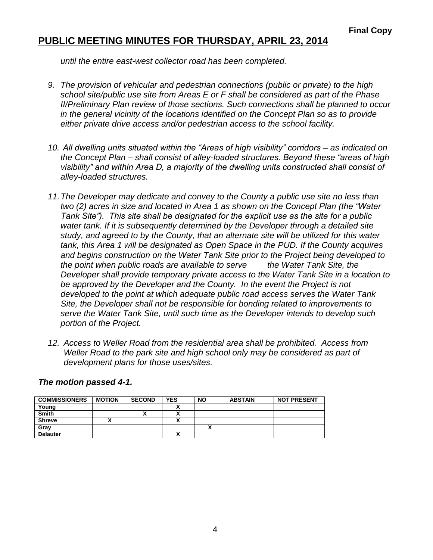*until the entire east-west collector road has been completed.*

- *9. The provision of vehicular and pedestrian connections (public or private) to the high school site/public use site from Areas E or F shall be considered as part of the Phase II/Preliminary Plan review of those sections. Such connections shall be planned to occur in the general vicinity of the locations identified on the Concept Plan so as to provide either private drive access and/or pedestrian access to the school facility.*
- *10. All dwelling units situated within the "Areas of high visibility" corridors – as indicated on the Concept Plan – shall consist of alley-loaded structures. Beyond these "areas of high visibility" and within Area D, a majority of the dwelling units constructed shall consist of alley-loaded structures.*
- *11.The Developer may dedicate and convey to the County a public use site no less than two (2) acres in size and located in Area 1 as shown on the Concept Plan (the "Water Tank Site"). This site shall be designated for the explicit use as the site for a public water tank. If it is subsequently determined by the Developer through a detailed site study, and agreed to by the County, that an alternate site will be utilized for this water tank, this Area 1 will be designated as Open Space in the PUD. If the County acquires and begins construction on the Water Tank Site prior to the Project being developed to the point when public roads are available to serve the Water Tank Site, the Developer shall provide temporary private access to the Water Tank Site in a location to be approved by the Developer and the County. In the event the Project is not developed to the point at which adequate public road access serves the Water Tank Site, the Developer shall not be responsible for bonding related to improvements to serve the Water Tank Site, until such time as the Developer intends to develop such portion of the Project.*
- *12. Access to Weller Road from the residential area shall be prohibited. Access from*  Weller Road to the park site and high school only may be considered as part of *development plans for those uses/sites.*

| <b>COMMISSIONERS</b> | <b>MOTION</b> | <b>SECOND</b> | <b>YES</b> | <b>NO</b> | <b>ABSTAIN</b> | <b>NOT PRESENT</b> |
|----------------------|---------------|---------------|------------|-----------|----------------|--------------------|
| Young                |               |               |            |           |                |                    |
| <b>Smith</b>         |               | ^             |            |           |                |                    |
| <b>Shreve</b>        |               |               |            |           |                |                    |
| Grav                 |               |               |            | ^         |                |                    |
| <b>Delauter</b>      |               |               |            |           |                |                    |

#### *The motion passed 4-1.*